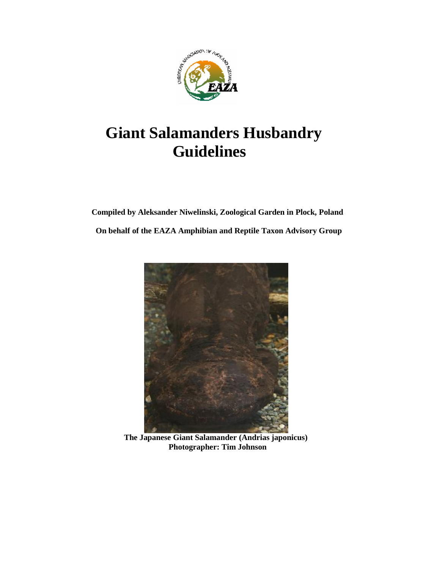

# **Giant Salamanders Husbandry Guidelines**

 **Compiled by Aleksander Niwelinski, Zoological Garden in Plock, Poland On behalf of the EAZA Amphibian and Reptile Taxon Advisory Group**



 **The Japanese Giant Salamander (Andrias japonicus) Photographer: Tim Johnson**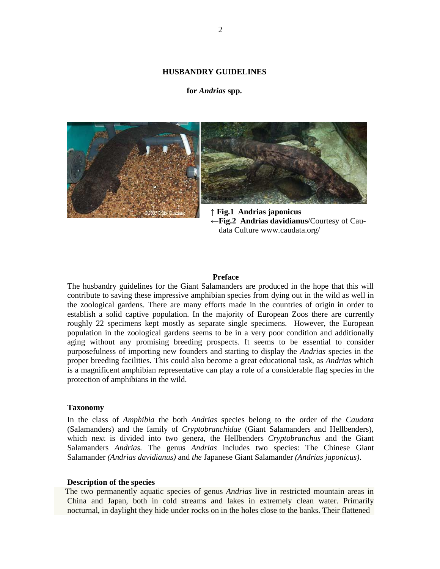#### **HUSBANDRY GUIDELINES**

#### **for** *Andrias* **spp.**



**" Fig.2 Andrias davidianus**/Courtesy of Cau data Culture www.caudata.org/

#### **Preface**

The husbandry guidelines for the Giant Salamanders are produced in the hope that this will contribute to saving these impressive amphibian species from dying out in the wild as well in the zoological gardens. There are many efforts made in the countries of origin **i**n order to establish a solid captive population. In the majority of European Zoos there are currently roughly 22 specimens kept mostly as separate single specimens. However, the European population in the zoological gardens seems to be in a very poor condition and additionally aging without any promising breeding prospects. It seems to be essential to consider purposefulness of importing new founders and starting to display the *Andrias* species in the proper breeding facilities. This could also become a great educational task, as *Andrias* which is a magnificent amphibian representative can play a role of a considerable flag species in the protection of amphibians in the wild.

#### **Taxonomy**

In the class of *Amphibia* the both *Andrias* species belong to the order of the *Caudata* (Salamanders) and the family of *Cryptobranchidae* (Giant Salamanders and Hellbenders), which next is divided into two genera, the Hellbenders *Cryptobranchus* and the Giant Salamanders *Andrias.* The genus *Andrias* includes two species: The Chinese Giant Salamander *(Andrias davidianus)* and *the* Japanese Giant Salamander *(Andrias japonicus)*.

#### **Description of the species**

 The two permanently aquatic species of genus *Andrias* live in restricted mountain areas in China and Japan, both in cold streams and lakes in extremely clean water. Primarily nocturnal, in daylight they hide under rocks on in the holes close to the banks. Their flattened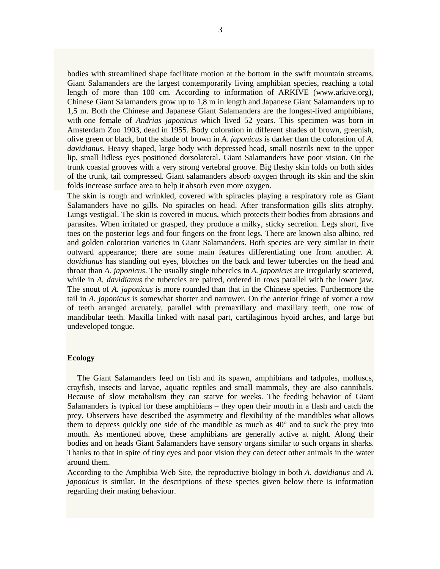bodies with streamlined shape facilitate motion at the bottom in the swift mountain streams. Giant Salamanders are the largest contemporarily living amphibian species, reaching a total length of more than 100 cm. According to information of ARKIVE (www.arkive.org), Chinese Giant Salamanders grow up to 1,8 m in length and Japanese Giant Salamanders up to 1,5 m. Both the Chinese and Japanese Giant Salamanders are the longest-lived amphibians, with one female of *Andrias japonicus* which lived 52 years. This specimen was born in Amsterdam Zoo 1903, dead in 1955. Body coloration in different shades of brown, greenish, olive green or black, but the shade of brown in *A. japonicus* is darker than the coloration of *A. davidianus.* Heavy shaped, large body with depressed head, small nostrils next to the upper lip, small lidless eyes positioned dorsolateral. Giant Salamanders have poor vision. On the trunk coastal grooves with a very strong vertebral groove. Big fleshy skin folds on both sides of the trunk, tail compressed. Giant salamanders absorb oxygen through its skin and the skin folds increase surface area to help it absorb even more oxygen.

The skin is rough and wrinkled, covered with spiracles playing a respiratory role as Giant Salamanders have no gills. No spiracles on head. After transformation gills slits atrophy. Lungs vestigial. The skin is covered in mucus, which protects their bodies from abrasions and parasites. When irritated or grasped, they produce a milky, sticky secretion. Legs short, five toes on the posterior legs and four fingers on the front legs. There are known also albino, red and golden coloration varieties in Giant Salamanders. Both species are very similar in their outward appearance; there are some main features differentiating one from another. *A. davidianus* has standing out eyes, blotches on the back and fewer tubercles on the head and throat than *A. japonicus*. The usually single tubercles in *A. japonicus* are irregularly scattered, while in *A. davidianus* the tubercles are paired, ordered in rows parallel with the lower jaw. The snout of *A. japonicus* is more rounded than that in the Chinese species. Furthermore the tail in *A. japonicus* is somewhat shorter and narrower. On the anterior fringe of vomer a row of teeth arranged arcuately, parallel with premaxillary and maxillary teeth, one row of mandibular teeth. Maxilla linked with nasal part, cartilaginous hyoid arches, and large but undeveloped tongue.

#### **Ecology**

 The Giant Salamanders feed on fish and its spawn, amphibians and tadpoles, molluscs, crayfish, insects and larvae, aquatic reptiles and small mammals, they are also cannibals. Because of slow metabolism they can starve for weeks. The feeding behavior of Giant Salamanders is typical for these amphibians  $-$  they open their mouth in a flash and catch the prey. Observers have described the asymmetry and flexibility of the mandibles what allows them to depress quickly one side of the mandible as much as 40' and to suck the prey into mouth. As mentioned above, these amphibians are generally active at night. Along their bodies and on heads Giant Salamanders have sensory organs similar to such organs in sharks. Thanks to that in spite of tiny eyes and poor vision they can detect other animals in the water around them.

According to the Amphibia Web Site, the reproductive biology in both *A. davidianus* and *A. japonicus* is similar. In the descriptions of these species given below there is information regarding their mating behaviour.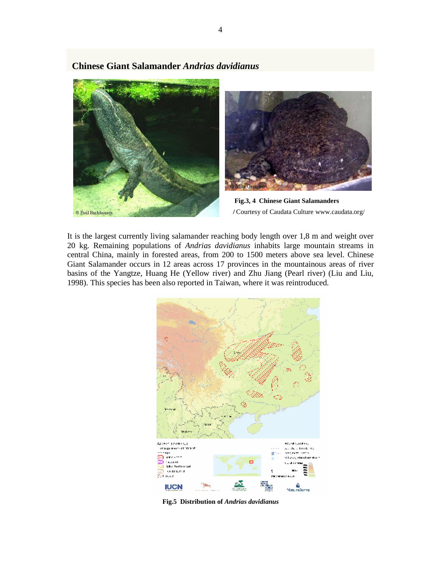

 **Chinese Giant Salamander** *Andrias davidianus*



**Fig.3, 4 Chinese Giant Salamanders** 

It is the largest currently living salamander reaching body length over 1,8 m and weight over 20 kg. Remaining populations of *Andrias davidianus* inhabits large mountain streams in central China, mainly in forested areas, from 200 to 1500 meters above sea level. Chinese Giant Salamander occurs in 12 areas across 17 provinces in the mountainous areas of river basins of the Yangtze, Huang He (Yellow river) and Zhu Jiang (Pearl river) (Liu and Liu, 1998). This species has been also reported in Taiwan, where it was reintroduced.



**Fig.5 Distribution of** *Andrias davidianus*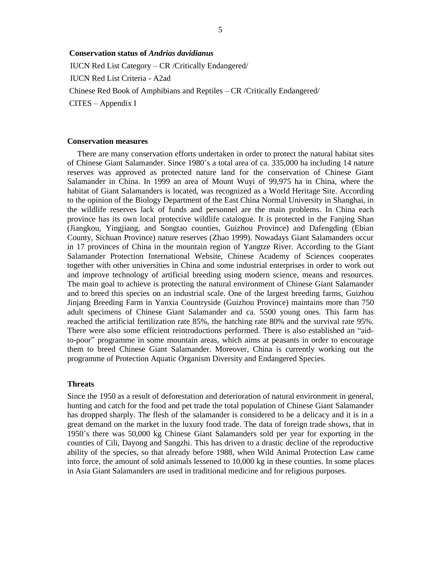### **Conservation status of** *Andrias davidianus*

IUCN Red List Category  $-$  CR /Critically Endangered/ IUCN Red List Criteria - A2ad Chinese Red Book of Amphibians and Reptiles – CR /Critically Endangered/  $CITES - Appendix I$ 

#### **Conservation measures**

 There are many conservation efforts undertaken in order to protect the natural habitat sites of Chinese Giant Salamander. Since 1980"s a total area of ca. 335,000 ha including 14 nature reserves was approved as protected nature land for the conservation of Chinese Giant Salamander in China. In 1999 an area of Mount Wuyi of 99,975 ha in China, where the habitat of Giant Salamanders is located, was recognized as a World Heritage Site. According to the opinion of the Biology Department of the East China Normal University in Shanghai, in the wildlife reserves lack of funds and personnel are the main problems. In China each province has its own local protective wildlife catalogue. It is protected in the Fanjing Shan (Jiangkou, Yingjiang, and Songtao counties, Guizhou Province) and Dafengding (Ebian County, Sichuan Province) nature reserves (Zhao 1999). Nowadays Giant Salamanders occur in 17 provinces of China in the mountain region of Yangtze River. According to the Giant Salamander Protection International Website, Chinese Academy of Sciences cooperates together with other universities in China and some industrial enterprises in order to work out and improve technology of artificial breeding using modern science, means and resources. The main goal to achieve is protecting the natural environment of Chinese Giant Salamander and to breed this species on an industrial scale. One of the largest breeding farms, Guizhou Jinjang Breeding Farm in Yanxia Countryside (Guizhou Province) maintains more than 750 adult specimens of Chinese Giant Salamander and ca. 5500 young ones. This farm has reached the artificial fertilization rate 85%, the hatching rate 80% and the survival rate 95%. There were also some efficient reintroductions performed. There is also established an "aidto-poor" programme in some mountain areas, which aims at peasants in order to encourage them to breed Chinese Giant Salamander. Moreover, China is currently working out the programme of Protection Aquatic Organism Diversity and Endangered Species.

#### **Threats**

Since the 1950 as a result of deforestation and deterioration of natural environment in general, hunting and catch for the food and pet trade the total population of Chinese Giant Salamander has dropped sharply. The flesh of the salamander is considered to be a delicacy and it is in a great demand on the market in the luxury food trade. The data of foreign trade shows, that in 1950"s there was 50,000 kg Chinese Giant Salamanders sold per year for exporting in the counties of Cili, Dayong and Sangzhi. This has driven to a drastic decline of the reproductive ability of the species, so that already before 1988, when Wild Animal Protection Law came into force, the amount of sold animals lessened to 10,000 kg in these counties. In some places in Asia Giant Salamanders are used in traditional medicine and for religious purposes.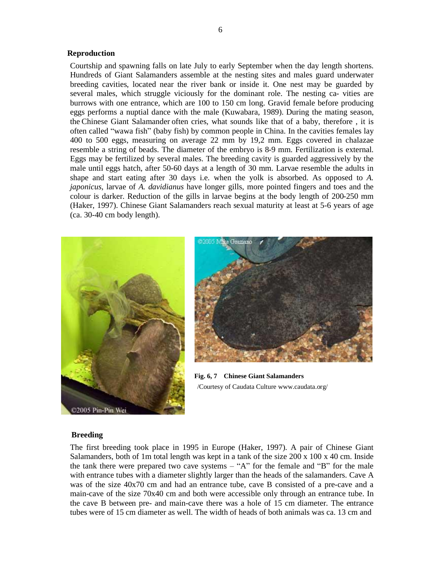#### **Reproduction**

Courtship and spawning falls on late July to early September when the day length shortens. Hundreds of Giant Salamanders assemble at the nesting sites and males guard underwater breeding cavities, located near the river bank or inside it. One nest may be guarded by several males, which struggle viciously for the dominant role. The nesting ca- vities are burrows with one entrance, which are 100 to 150 cm long. Gravid female before producing eggs performs a nuptial dance with the male (Kuwabara, 1989). During the mating season, the Chinese Giant Salamander often cries, what sounds like that of a baby, therefore , it is often called "wawa fish" (baby fish) by common people in China. In the cavities females lay 400 to 500 eggs, measuring on average 22 mm by 19,2 mm. Eggs covered in chalazae resemble a string of beads. The diameter of the embryo is 8-9 mm. Fertilization is external. Eggs may be fertilized by several males. The breeding cavity is guarded aggressively by the male until eggs hatch, after 50-60 days at a length of 30 mm. Larvae resemble the adults in shape and start eating after 30 days i.e. when the yolk is absorbed. As opposed to *A. japonicus*, larvae of *A. davidianus* have longer gills, more pointed fingers and toes and the colour is darker. Reduction of the gills in larvae begins at the body length of 200-250 mm (Haker, 1997). Chinese Giant Salamanders reach sexual maturity at least at 5-6 years of age (ca. 30-40 cm body length).





 **Fig. 6, 7 Chinese Giant Salamanders** /Courtesy of Caudata Culture www.caudata.org/

#### **Breeding**

The first breeding took place in 1995 in Europe (Haker, 1997). A pair of Chinese Giant Salamanders, both of 1m total length was kept in a tank of the size 200 x 100 x 40 cm. Inside the tank there were prepared two cave systems  $-$  "A" for the female and "B" for the male with entrance tubes with a diameter slightly larger than the heads of the salamanders. Cave A was of the size 40x70 cm and had an entrance tube, cave B consisted of a pre-cave and a main-cave of the size 70x40 cm and both were accessible only through an entrance tube. In the cave B between pre- and main-cave there was a hole of 15 cm diameter. The entrance tubes were of 15 cm diameter as well. The width of heads of both animals was ca. 13 cm and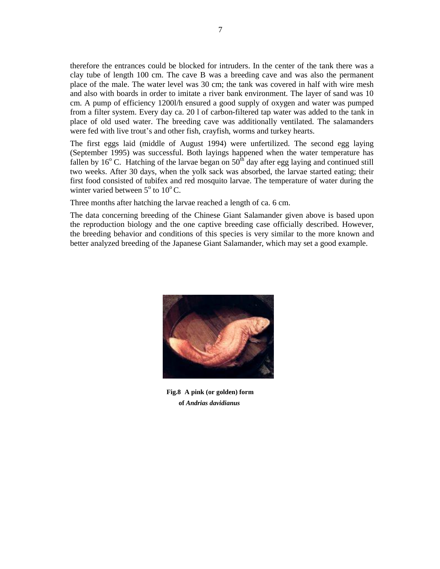therefore the entrances could be blocked for intruders. In the center of the tank there was a clay tube of length 100 cm. The cave B was a breeding cave and was also the permanent place of the male. The water level was 30 cm; the tank was covered in half with wire mesh and also with boards in order to imitate a river bank environment. The layer of sand was 10 cm. A pump of efficiency 1200l/h ensured a good supply of oxygen and water was pumped from a filter system. Every day ca. 20 l of carbon-filtered tap water was added to the tank in place of old used water. The breeding cave was additionally ventilated. The salamanders were fed with live trout's and other fish, crayfish, worms and turkey hearts.

The first eggs laid (middle of August 1994) were unfertilized. The second egg laying (September 1995) was successful. Both layings happened when the water temperature has fallen by  $16^{\circ}$  C. Hatching of the larvae began on  $50^{\text{th}}$  day after egg laying and continued still two weeks. After 30 days, when the yolk sack was absorbed, the larvae started eating; their first food consisted of tubifex and red mosquito larvae. The temperature of water during the winter varied between  $5^{\circ}$  to  $10^{\circ}$  C.

Three months after hatching the larvae reached a length of ca. 6 cm.

The data concerning breeding of the Chinese Giant Salamander given above is based upon the reproduction biology and the one captive breeding case officially described. However, the breeding behavior and conditions of this species is very similar to the more known and better analyzed breeding of the Japanese Giant Salamander, which may set a good example.



 **Fig.8 A pink (or golden) form of** *Andrias davidianus*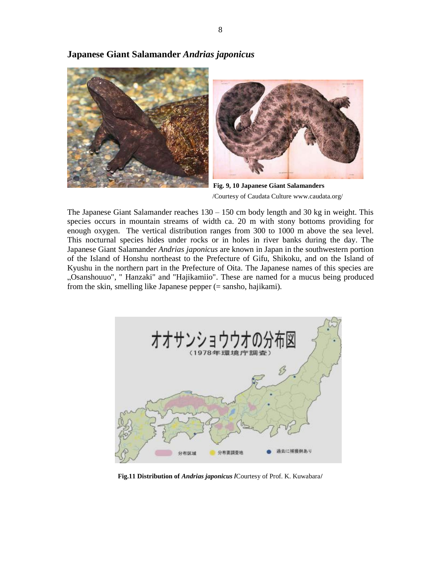

# **Japanese Giant Salamander** *Andrias japonicus*

 **Fig. 9, 10 Japanese Giant Salamanders** /Courtesy of Caudata Culture www.caudata.org/

The Japanese Giant Salamander reaches  $130 - 150$  cm body length and 30 kg in weight. This species occurs in mountain streams of width ca. 20 m with stony bottoms providing for enough oxygen. The vertical distribution ranges from 300 to 1000 m above the sea level. This nocturnal species hides under rocks or in holes in river banks during the day. The Japanese Giant Salamander *Andrias japonicus* are known in Japan in the southwestern portion of the Island of Honshu northeast to the Prefecture of Gifu, Shikoku, and on the Island of Kyushu in the northern part in the Prefecture of Oita. The Japanese names of this species are "Osanshouuo", " Hanzaki" and "Hajikamiio". These are named for a mucus being produced from the skin, smelling like Japanese pepper (= sansho, hajikami).



**Fig.11 Distribution of** *Andrias japonicus* **/**Courtesy of Prof. K. Kuwabara**/**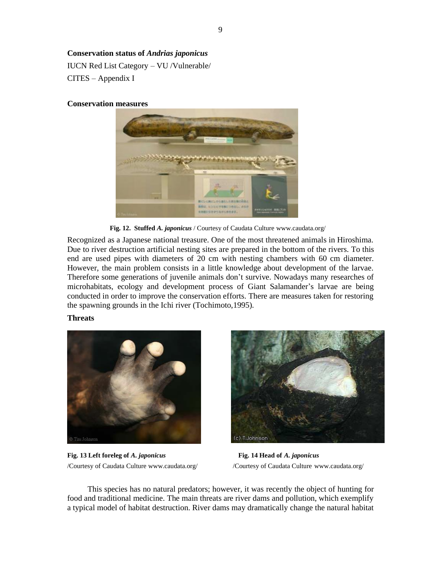# **Conservation status of** *Andrias japonicus*

IUCN Red List Category - VU /Vulnerable/  $CITES - Appendix I$ 

## **Conservation measures**



**Fig. 12. Stuffed** *A. japonicus* / Courtesy of Caudata Culture www.caudata.org/

Recognized as a Japanese national treasure. One of the most threatened animals in Hiroshima. Due to river destruction artificial nesting sites are prepared in the bottom of the rivers. To this end are used pipes with diameters of 20 cm with nesting chambers with 60 cm diameter. However, the main problem consists in a little knowledge about development of the larvae. Therefore some generations of juvenile animals don"t survive. Nowadays many researches of microhabitats, ecology and development process of Giant Salamander"s larvae are being conducted in order to improve the conservation efforts. There are measures taken for restoring the spawning grounds in the Ichi river (Tochimoto,1995).

# **Threats**



**Fig. 13 Left foreleg of** *A. japonicus* **Fig. 14 Head of** *A. japonicus* /Courtesy of Caudata Culture www.caudata.org/ /Courtesy of Caudata Culture www.caudata.org/



 This species has no natural predators; however, it was recently the object of hunting for food and traditional medicine. The main threats are river dams and pollution, which exemplify a typical model of habitat destruction. River dams may dramatically change the natural habitat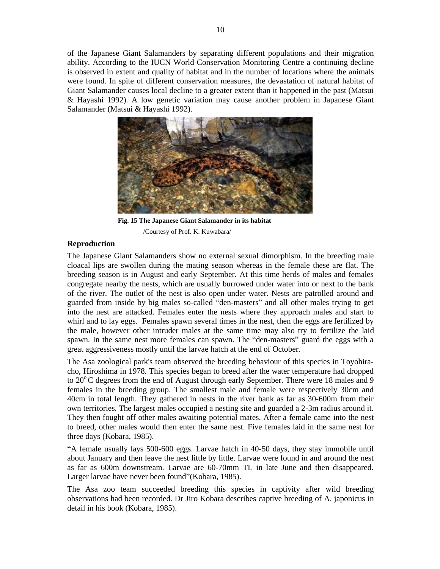of the Japanese Giant Salamanders by separating different populations and their migration ability. According to the IUCN World Conservation Monitoring Centre a continuing decline is observed in extent and quality of habitat and in the number of locations where the animals were found. In spite of different conservation measures, the devastation of natural habitat of Giant Salamander causes local decline to a greater extent than it happened in the past (Matsui & Hayashi 1992). A low genetic variation may cause another problem in Japanese Giant Salamander (Matsui & Hayashi 1992).



 **Fig. 15 The Japanese Giant Salamander in its habitat** /Courtesy of Prof. K. Kuwabara/

#### **Reproduction**

The Japanese Giant Salamanders show no external sexual dimorphism. In the breeding male cloacal lips are swollen during the mating season whereas in the female these are flat. The breeding season is in August and early September. At this time herds of males and females congregate nearby the nests, which are usually burrowed under water into or next to the bank of the river. The outlet of the nest is also open under water. Nests are patrolled around and guarded from inside by big males so-called "den-masters" and all other males trying to get into the nest are attacked. Females enter the nests where they approach males and start to whirl and to lay eggs. Females spawn several times in the nest, then the eggs are fertilized by the male, however other intruder males at the same time may also try to fertilize the laid spawn. In the same nest more females can spawn. The "den-masters" guard the eggs with a great aggressiveness mostly until the larvae hatch at the end of October.

The Asa zoological park's team observed the breeding behaviour of this species in Toyohiracho, Hiroshima in 1978. This species began to breed after the water temperature had dropped to  $20^{\circ}$ C degrees from the end of August through early September. There were 18 males and 9 females in the breeding group. The smallest male and female were respectively 30cm and 40cm in total length. They gathered in nests in the river bank as far as 30-600m from their own territories. The largest males occupied a nesting site and guarded a 2-3m radius around it. They then fought off other males awaiting potential mates. After a female came into the nest to breed, other males would then enter the same nest. Five females laid in the same nest for three days (Kobara, 1985).

"A female usually lays 500-600 eggs. Larvae hatch in 40-50 days, they stay immobile until about January and then leave the nest little by little. Larvae were found in and around the nest as far as 600m downstream. Larvae are 60-70mm TL in late June and then disappeared. Larger larvae have never been found"(Kobara, 1985).

The Asa zoo team succeeded breeding this species in captivity after wild breeding observations had been recorded. Dr Jiro Kobara describes captive breeding of A. japonicus in detail in his book (Kobara, 1985).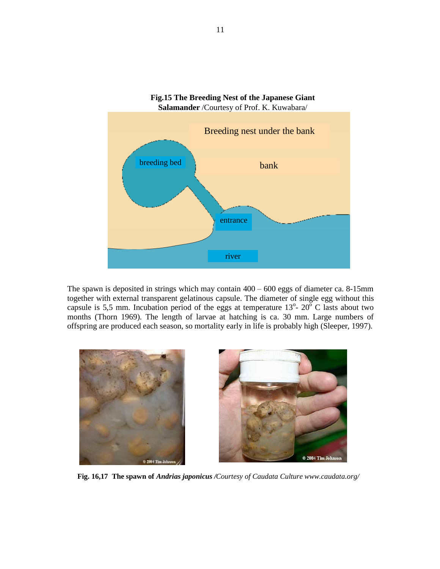

The spawn is deposited in strings which may contain  $400 - 600$  eggs of diameter ca. 8-15mm together with external transparent gelatinous capsule. The diameter of single egg without this capsule is 5,5 mm. Incubation period of the eggs at temperature  $13^{\circ}$ -  $20^{\circ}$  C lasts about two months (Thorn 1969). The length of larvae at hatching is ca. 30 mm. Large numbers of offspring are produced each season, so mortality early in life is probably high (Sleeper, 1997).



 **Fig. 16,17 The spawn of** *Andrias japonicus /Courtesy of Caudata Culture www.caudata.org/*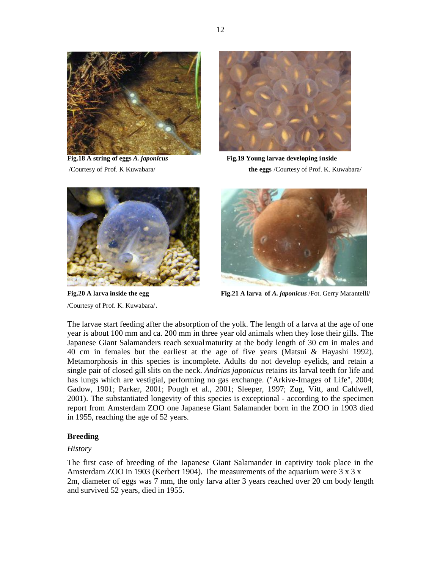



**Fig.18 A string of eggs** *A. japonicus* **Fig.19 Young larvae developing inside** /Courtesy of Prof. K Kuwabara/ **the eggs** /Courtesy of Prof. K. Kuwabara/



/Courtesy of Prof. K. Kuwabara/.



**Fig.20 A larva inside the egg Fig.21 A larva of** *A. japonicus* **/Fot. Gerry Marantelli/** 

The larvae start feeding after the absorption of the yolk. The length of a larva at the age of one year is about 100 mm and ca. 200 mm in three year old animals when they lose their gills. The Japanese Giant Salamanders reach sexualmaturity at the body length of 30 cm in males and 40 cm in females but the earliest at the age of five years (Matsui & Hayashi 1992). Metamorphosis in this species is incomplete. Adults do not develop eyelids, and retain a single pair of closed gill slits on the neck. *Andrias japonicus* retains its larval teeth for life and has lungs which are vestigial, performing no gas exchange. ("Arkive-Images of Life", 2004; Gadow, 1901; Parker, 2001; Pough et al., 2001; Sleeper, 1997; Zug, Vitt, and Caldwell, 2001). The substantiated longevity of this species is exceptional - according to the specimen report from Amsterdam ZOO one Japanese Giant Salamander born in the ZOO in 1903 died in 1955, reaching the age of 52 years.

# **Breeding**

# *History*

The first case of breeding of the Japanese Giant Salamander in captivity took place in the Amsterdam ZOO in 1903 (Kerbert 1904). The measurements of the aquarium were  $3 \times 3 \times 3$ 2m, diameter of eggs was 7 mm, the only larva after 3 years reached over 20 cm body length and survived 52 years, died in 1955.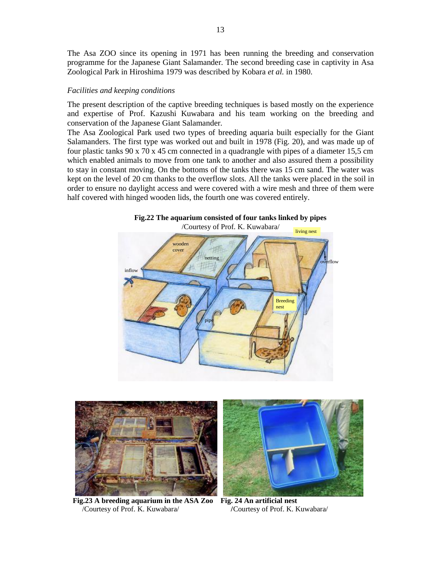The Asa ZOO since its opening in 1971 has been running the breeding and conservation programme for the Japanese Giant Salamander. The second breeding case in captivity in Asa Zoological Park in Hiroshima 1979 was described by Kobara *et al.* in 1980.

#### *Facilities and keeping conditions*

The present description of the captive breeding techniques is based mostly on the experience and expertise of Prof. Kazushi Kuwabara and his team working on the breeding and conservation of the Japanese Giant Salamander.

The Asa Zoological Park used two types of breeding aquaria built especially for the Giant Salamanders. The first type was worked out and built in 1978 (Fig. 20), and was made up of four plastic tanks 90 x 70 x 45 cm connected in a quadrangle with pipes of a diameter 15.5 cm which enabled animals to move from one tank to another and also assured them a possibility to stay in constant moving. On the bottoms of the tanks there was 15 cm sand. The water was kept on the level of 20 cm thanks to the overflow slots. All the tanks were placed in the soil in order to ensure no daylight access and were covered with a wire mesh and three of them were half covered with hinged wooden lids, the fourth one was covered entirely.







 **Fig.23 A breeding aquarium in the ASA Zoo Fig. 24 An artificial nest** /Courtesy of Prof. K. Kuwabara/ **/**Courtesy of Prof. K. Kuwabara/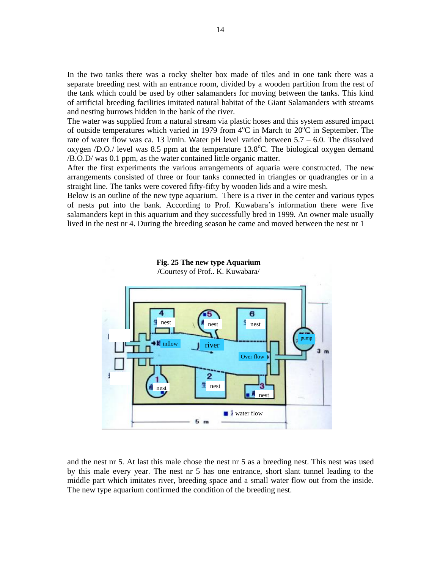In the two tanks there was a rocky shelter box made of tiles and in one tank there was a separate breeding nest with an entrance room, divided by a wooden partition from the rest of the tank which could be used by other salamanders for moving between the tanks. This kind of artificial breeding facilities imitated natural habitat of the Giant Salamanders with streams and nesting burrows hidden in the bank of the river.

The water was supplied from a natural stream via plastic hoses and this system assured impact of outside temperatures which varied in 1979 from  $4^{\circ}$ C in March to  $20^{\circ}$ C in September. The rate of water flow was ca. 13 l/min. Water pH level varied between  $5.7 - 6.0$ . The dissolved oxygen /D.O./ level was 8.5 ppm at the temperature  $13.8^{\circ}$ C. The biological oxygen demand /B.O.D/ was 0.1 ppm, as the water contained little organic matter.

After the first experiments the various arrangements of aquaria were constructed. The new arrangements consisted of three or four tanks connected in triangles or quadrangles or in a straight line. The tanks were covered fifty-fifty by wooden lids and a wire mesh.

Below is an outline of the new type aquarium. There is a river in the center and various types of nests put into the bank. According to Prof. Kuwabara"s information there were five salamanders kept in this aquarium and they successfully bred in 1999. An owner male usually lived in the nest nr 4. During the breeding season he came and moved between the nest nr 1





and the nest nr 5. At last this male chose the nest nr 5 as a breeding nest. This nest was used by this male every year. The nest nr 5 has one entrance, short slant tunnel leading to the middle part which imitates river, breeding space and a small water flow out from the inside. The new type aquarium confirmed the condition of the breeding nest.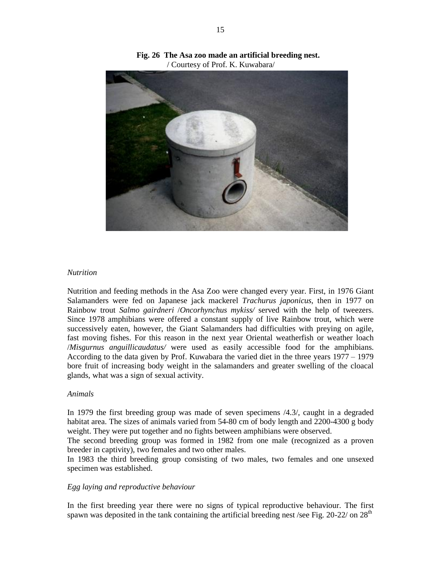

**Fig. 26 The Asa zoo made an artificial breeding nest.** / Courtesy of Prof. K. Kuwabara/

#### *Nutrition*

Nutrition and feeding methods in the Asa Zoo were changed every year. First, in 1976 Giant Salamanders were fed on Japanese jack mackerel *Trachurus japonicus*, then in 1977 on Rainbow trout *Salmo gairdneri* /*Oncorhynchus mykiss/* served with the help of tweezers. Since 1978 amphibians were offered a constant supply of live Rainbow trout, which were successively eaten, however, the Giant Salamanders had difficulties with preying on agile, fast moving fishes. For this reason in the next year Oriental weatherfish or weather loach /*Misgurnus anguillicaudatus/* were used as easily accessible food for the amphibians. According to the data given by Prof. Kuwabara the varied diet in the three years  $1977 - 1979$ bore fruit of increasing body weight in the salamanders and greater swelling of the cloacal glands, what was a sign of sexual activity.

#### *Animals*

In 1979 the first breeding group was made of seven specimens /4.3/, caught in a degraded habitat area. The sizes of animals varied from 54-80 cm of body length and 2200-4300 g body weight. They were put together and no fights between amphibians were observed.

The second breeding group was formed in 1982 from one male (recognized as a proven breeder in captivity), two females and two other males.

In 1983 the third breeding group consisting of two males, two females and one unsexed specimen was established.

# *Egg laying and reproductive behaviour*

In the first breeding year there were no signs of typical reproductive behaviour. The first spawn was deposited in the tank containing the artificial breeding nest /see Fig.  $20-22/$  on  $28<sup>th</sup>$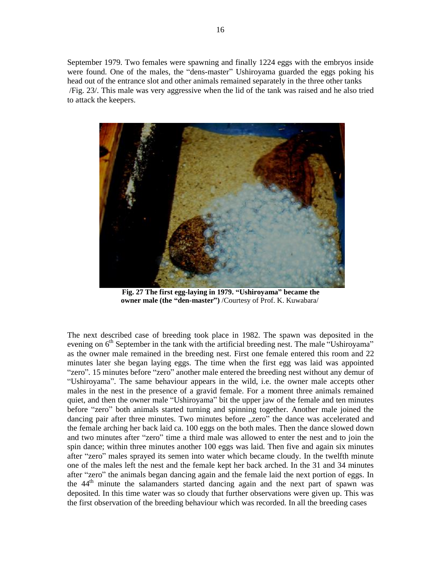September 1979. Two females were spawning and finally 1224 eggs with the embryos inside were found. One of the males, the "dens-master" Ushiroyama guarded the eggs poking his head out of the entrance slot and other animals remained separately in the three other tanks /Fig. 23/. This male was very aggressive when the lid of the tank was raised and he also tried to attack the keepers.



 **Fig. 27 The first egg-laying in 1979. "Ushiroyama became the owner male (the "den-master)** /Courtesy of Prof. K. Kuwabara/

The next described case of breeding took place in 1982. The spawn was deposited in the evening on  $6<sup>th</sup>$  September in the tank with the artificial breeding nest. The male "Ushiroyama" as the owner male remained in the breeding nest. First one female entered this room and 22 minutes later she began laying eggs. The time when the first egg was laid was appointed "zero". 15 minutes before "zero" another male entered the breeding nest without any demur of "Ushiroyama". The same behaviour appears in the wild, i.e. the owner male accepts other males in the nest in the presence of a gravid female. For a moment three animals remained quiet, and then the owner male "Ushiroyama" bit the upper jaw of the female and ten minutes before "zero" both animals started turning and spinning together. Another male joined the dancing pair after three minutes. Two minutes before "zero" the dance was accelerated and the female arching her back laid ca. 100 eggs on the both males. Then the dance slowed down and two minutes after "zero" time a third male was allowed to enter the nest and to join the spin dance; within three minutes another 100 eggs was laid. Then five and again six minutes after "zero" males sprayed its semen into water which became cloudy. In the twelfth minute one of the males left the nest and the female kept her back arched. In the 31 and 34 minutes after "zero" the animals began dancing again and the female laid the next portion of eggs. In the 44th minute the salamanders started dancing again and the next part of spawn was deposited. In this time water was so cloudy that further observations were given up. This was the first observation of the breeding behaviour which was recorded. In all the breeding cases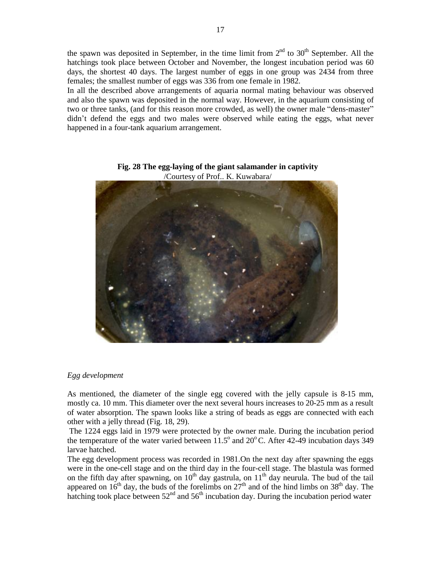the spawn was deposited in September, in the time limit from  $2<sup>nd</sup>$  to  $30<sup>th</sup>$  September. All the hatchings took place between October and November, the longest incubation period was 60 days, the shortest 40 days. The largest number of eggs in one group was 2434 from three females; the smallest number of eggs was 336 from one female in 1982.

In all the described above arrangements of aquaria normal mating behaviour was observed and also the spawn was deposited in the normal way. However, in the aquarium consisting of two or three tanks, (and for this reason more crowded, as well) the owner male "dens-master" didn"t defend the eggs and two males were observed while eating the eggs, what never happened in a four-tank aquarium arrangement.



**Fig. 28 The egg-laying of the giant salamander in captivity** /Courtesy of Prof.. K. Kuwabara/

# *Egg development*

As mentioned, the diameter of the single egg covered with the jelly capsule is 8-15 mm, mostly ca. 10 mm. This diameter over the next several hours increases to 20-25 mm as a result of water absorption. The spawn looks like a string of beads as eggs are connected with each other with a jelly thread (Fig. 18, 29).

 The 1224 eggs laid in 1979 were protected by the owner male. During the incubation period the temperature of the water varied between  $11.5^{\circ}$  and  $20^{\circ}$ C. After 42-49 incubation days 349 larvae hatched.

The egg development process was recorded in 1981.On the next day after spawning the eggs were in the one-cell stage and on the third day in the four-cell stage. The blastula was formed on the fifth day after spawning, on  $10^{th}$  day gastrula, on  $11^{th}$  day neurula. The bud of the tail appeared on  $16<sup>th</sup>$  day, the buds of the forelimbs on  $27<sup>th</sup>$  and of the hind limbs on  $38<sup>th</sup>$  day. The hatching took place between  $52<sup>nd</sup>$  and  $56<sup>th</sup>$  incubation day. During the incubation period water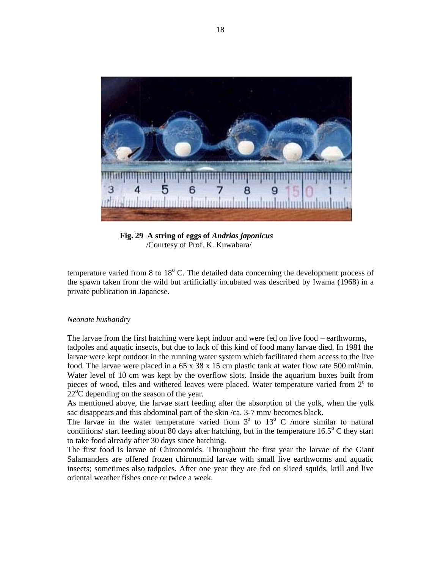

 **Fig. 29 A string of eggs of** *Andrias japonicus* /Courtesy of Prof. K. Kuwabara/

temperature varied from 8 to  $18^{\circ}$  C. The detailed data concerning the development process of the spawn taken from the wild but artificially incubated was described by Iwama (1968) in a private publication in Japanese.

#### *Neonate husbandry*

The larvae from the first hatching were kept indoor and were fed on live food – earthworms, tadpoles and aquatic insects, but due to lack of this kind of food many larvae died. In 1981 the larvae were kept outdoor in the running water system which facilitated them access to the live food. The larvae were placed in a  $65 \times 38 \times 15$  cm plastic tank at water flow rate 500 ml/min. Water level of 10 cm was kept by the overflow slots. Inside the aquarium boxes built from pieces of wood, tiles and withered leaves were placed. Water temperature varied from  $2^{\circ}$  to  $22^{\circ}$ C depending on the season of the year.

As mentioned above, the larvae start feeding after the absorption of the yolk, when the yolk sac disappears and this abdominal part of the skin /ca. 3-7 mm/ becomes black.

The larvae in the water temperature varied from  $3^{\circ}$  to  $13^{\circ}$  C /more similar to natural conditions/ start feeding about  $\overline{80}$  days after hatching, but in the temperature  $16.5^{\circ}$  C they start to take food already after 30 days since hatching.

The first food is larvae of Chironomids. Throughout the first year the larvae of the Giant Salamanders are offered frozen chironomid larvae with small live earthworms and aquatic insects; sometimes also tadpoles. After one year they are fed on sliced squids, krill and live oriental weather fishes once or twice a week.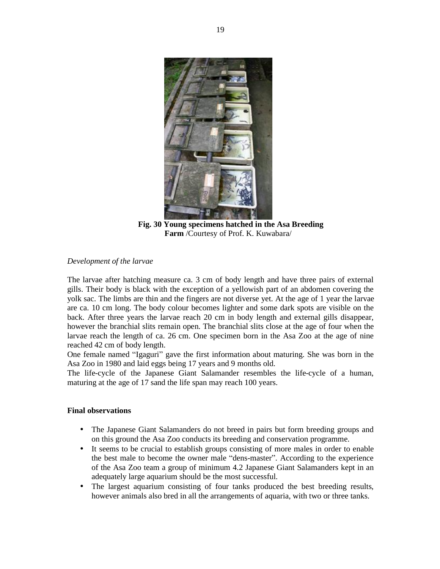

 **Fig. 30 Young specimens hatched in the Asa Breeding Farm** /Courtesy of Prof. K. Kuwabara/

# *Development of the larvae*

The larvae after hatching measure ca. 3 cm of body length and have three pairs of external gills. Their body is black with the exception of a yellowish part of an abdomen covering the yolk sac. The limbs are thin and the fingers are not diverse yet. At the age of 1 year the larvae are ca. 10 cm long. The body colour becomes lighter and some dark spots are visible on the back. After three years the larvae reach 20 cm in body length and external gills disappear, however the branchial slits remain open. The branchial slits close at the age of four when the larvae reach the length of ca. 26 cm. One specimen born in the Asa Zoo at the age of nine reached 42 cm of body length.

One female named "Igaguri" gave the first information about maturing. She was born in the Asa Zoo in 1980 and laid eggs being 17 years and 9 months old.

The life-cycle of the Japanese Giant Salamander resembles the life-cycle of a human, maturing at the age of 17 sand the life span may reach 100 years.

# **Final observations**

- The Japanese Giant Salamanders do not breed in pairs but form breeding groups and on this ground the Asa Zoo conducts its breeding and conservation programme.
- It seems to be crucial to establish groups consisting of more males in order to enable the best male to become the owner male "dens-master". According to the experience of the Asa Zoo team a group of minimum 4.2 Japanese Giant Salamanders kept in an adequately large aquarium should be the most successful.
- The largest aquarium consisting of four tanks produced the best breeding results, however animals also bred in all the arrangements of aquaria, with two or three tanks.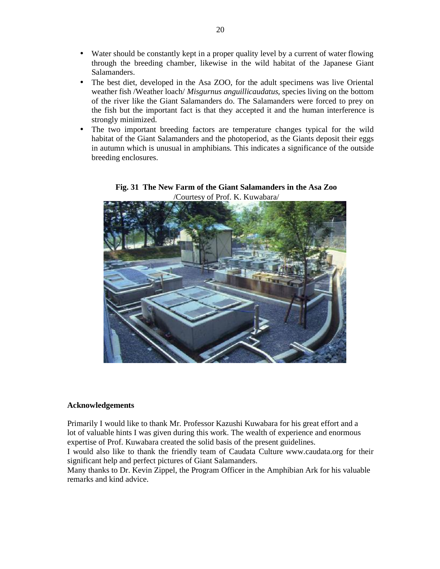- Water should be constantly kept in a proper quality level by a current of water flowing through the breeding chamber, likewise in the wild habitat of the Japanese Giant Salamanders.
- The best diet, developed in the Asa ZOO, for the adult specimens was live Oriental weather fish /Weather loach/ *Misgurnus anguillicaudatus*, species living on the bottom of the river like the Giant Salamanders do. The Salamanders were forced to prey on the fish but the important fact is that they accepted it and the human interference is strongly minimized.
- The two important breeding factors are temperature changes typical for the wild habitat of the Giant Salamanders and the photoperiod, as the Giants deposit their eggs in autumn which is unusual in amphibians. This indicates a significance of the outside breeding enclosures.



# **Fig. 31 The New Farm of the Giant Salamanders in the Asa Zoo** /Courtesy of Prof. K. Kuwabara/

# **Acknowledgements**

Primarily I would like to thank Mr. Professor Kazushi Kuwabara for his great effort and a lot of valuable hints I was given during this work. The wealth of experience and enormous expertise of Prof. Kuwabara created the solid basis of the present guidelines.

I would also like to thank the friendly team of Caudata Culture www.caudata.org for their significant help and perfect pictures of Giant Salamanders.

Many thanks to Dr. Kevin Zippel, the Program Officer in the Amphibian Ark for his valuable remarks and kind advice.